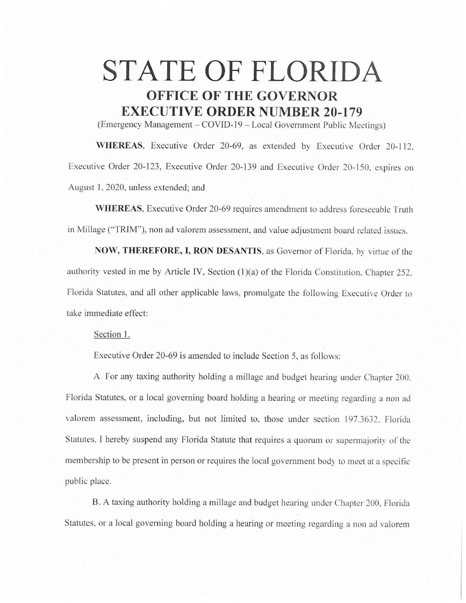## **STATE OF FLORIDA OFFICE OF THE GOVERNOR EXECUTIVE ORDER NUMBER 20-179**

(Emergency Management – COVID-19 – Local Government Public Meetings)

WHEREAS, Executive Order 20-69, as extended by Executive Order 20-112. Executive Order 20-123, Executive Order 20-139 and Executive Order 20-150. expires on August 1, 2020, unless extended; and

**WHEREAS, Executive Order 20-69 requires amendment to address foreseeable Truth** in Millage ("TRIM"), non ad valorem assessment, and value adjustment board related issues.

**NOW, THEREFORE, I, RON DESANTIS,** as Governor of Florida. by virtue of the authority vested in me by Article IV, Section (1)(a) of the Florida Constitution, Chapter 252, Florida Statutes, and all other applicable laws. promulgate the following Executive Order to take immediate effect:

Section 1.

Executive Order 20-69 is amended to include Section 5, as follows:

A. For any taxing authority holding a millage and budget hearing under Chapter 200. Florida Statutes, or a local governing board holding a hearing or meeting regarding a non ad valorem assessment, including, but not limited to, those under section 197.3632, Floridu Statutes, I hereby suspend any Florida Statute that requires a quorum or supermajority of the membership to be present in person or requires the local government body to meet at a specific public place.

B. A taxing authority holding a millage and budget hearing under Chapter 200. Florida Statutes, or a local governing board holding a hearing or meeting regarding a non ad valorem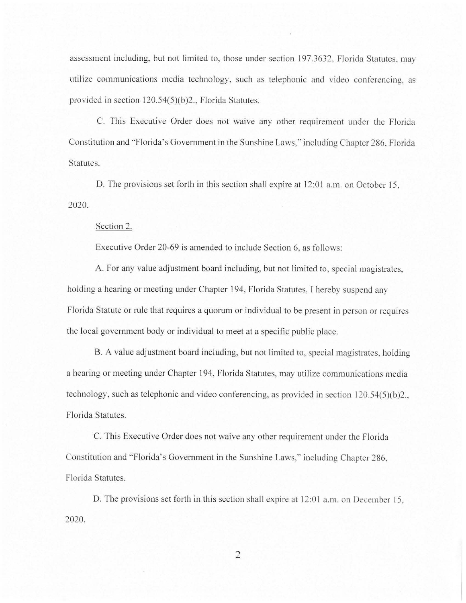assessment including, but not limited to, those under section 197.3632. Florida Statutes. may utilize communications media technology, such as telephonic and video conferencing. as provided in section  $120.54(5)(b)2$ ., Florida Statutes.

C. This Executive Order does not waive any other requirement under the Florida Constitution and "Florida's Government in the Sunshine Laws," including Chapter 286, Florida Statutes.

D. The provisions set forth in this section shall expire at 12:01 a.m. on October 15, 2020.

## Section 2.

Executive Order 20-69 is amended to include Section 6. as follows:

A. For any value adjustment board including, but not limited to, special magistrates, holding a hearing or meeting under Chapter 194, Florida Statutes. I hereby suspend any Florida Statute or rule that requires a quorum or individual to be present in person or requires the local government body or individual to meet at a specific public place.

B. A value adjustment board including, but not limited to, special magistrates, holding a hearing or meeting under Chapter 194, Florida Statutes, may utilize communications media technology, such as telephonic and video conferencing, as provided in section 120.54(5)(b)2... Florida Statutes.

C. This Executive Order does not waive any other requirement under the Florida Constitution and "Florida's Government in the Sunshine Laws," including Chapter 286. Florida Statutes.

D. The provisions set forth in this section shall expire at 12:01 a.m. on December 15, 2020.

2